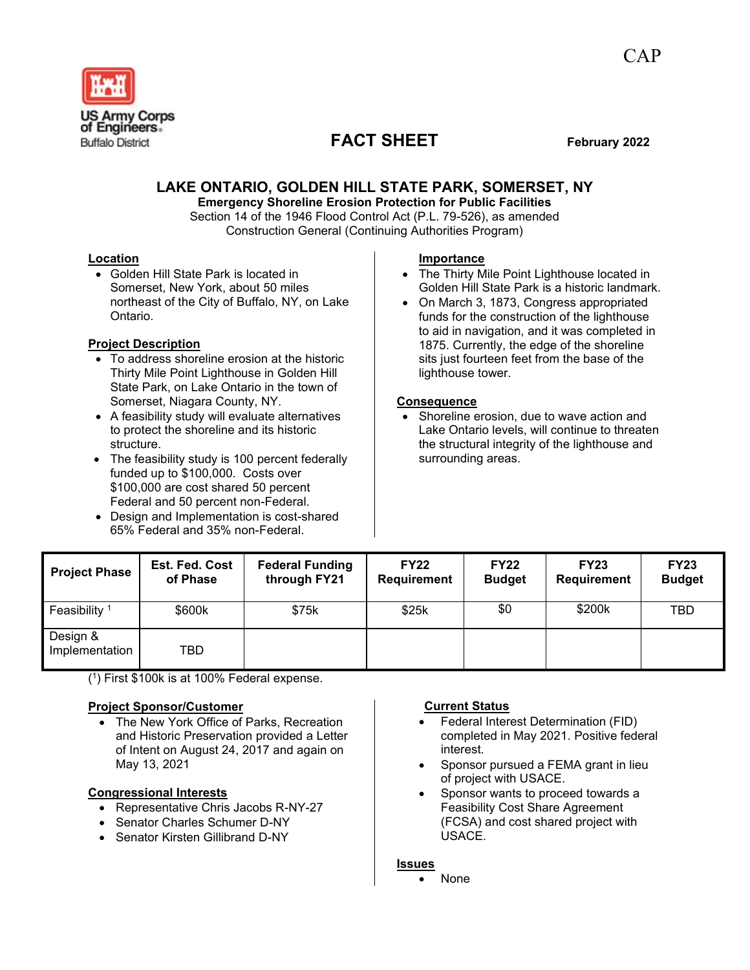

# **FACT SHEET February 2022**

# **LAKE ONTARIO, GOLDEN HILL STATE PARK, SOMERSET, NY**

**Emergency Shoreline Erosion Protection for Public Facilities** Section 14 of the 1946 Flood Control Act (P.L. 79-526), as amended Construction General (Continuing Authorities Program)

#### **Location**

• Golden Hill State Park is located in Somerset, New York, about 50 miles northeast of the City of Buffalo, NY, on Lake Ontario.

## **Project Description**

- To address shoreline erosion at the historic Thirty Mile Point Lighthouse in Golden Hill State Park, on Lake Ontario in the town of Somerset, Niagara County, NY.
- A feasibility study will evaluate alternatives to protect the shoreline and its historic structure.
- The feasibility study is 100 percent federally funded up to \$100,000. Costs over \$100,000 are cost shared 50 percent Federal and 50 percent non-Federal.
- Design and Implementation is cost-shared 65% Federal and 35% non-Federal.

#### **Importance**

- The Thirty Mile Point Lighthouse located in Golden Hill State Park is a historic landmark.
- On March 3, 1873, Congress appropriated funds for the construction of the lighthouse to aid in navigation, and it was completed in 1875. Currently, the edge of the shoreline sits just fourteen feet from the base of the lighthouse tower.

#### **Consequence**

Shoreline erosion, due to wave action and Lake Ontario levels, will continue to threaten the structural integrity of the lighthouse and surrounding areas.

| <b>Project Phase</b>       | <b>Est. Fed. Cost</b><br>of Phase | <b>Federal Funding</b><br>through FY21 | <b>FY22</b><br><b>Requirement</b> | <b>FY22</b><br><b>Budget</b> | <b>FY23</b><br>Requirement | <b>FY23</b><br><b>Budget</b> |
|----------------------------|-----------------------------------|----------------------------------------|-----------------------------------|------------------------------|----------------------------|------------------------------|
| Feasibility <sup>1</sup>   | \$600k                            | \$75k                                  | \$25k                             | \$0                          | \$200k                     | TBD                          |
| Design &<br>Implementation | TBD                               |                                        |                                   |                              |                            |                              |

( 1 ) First \$100k is at 100% Federal expense.

## **Project Sponsor/Customer**

• The New York Office of Parks, Recreation and Historic Preservation provided a Letter of Intent on August 24, 2017 and again on May 13, 2021

## **Congressional Interests**

- Representative Chris Jacobs R-NY-27
- Senator Charles Schumer D-NY
- Senator Kirsten Gillibrand D-NY

# **Current Status**

- Federal Interest Determination (FID) completed in May 2021. Positive federal interest.
- Sponsor pursued a FEMA grant in lieu of project with USACE.
- Sponsor wants to proceed towards a Feasibility Cost Share Agreement (FCSA) and cost shared project with USACE.

#### **Issues**

• None